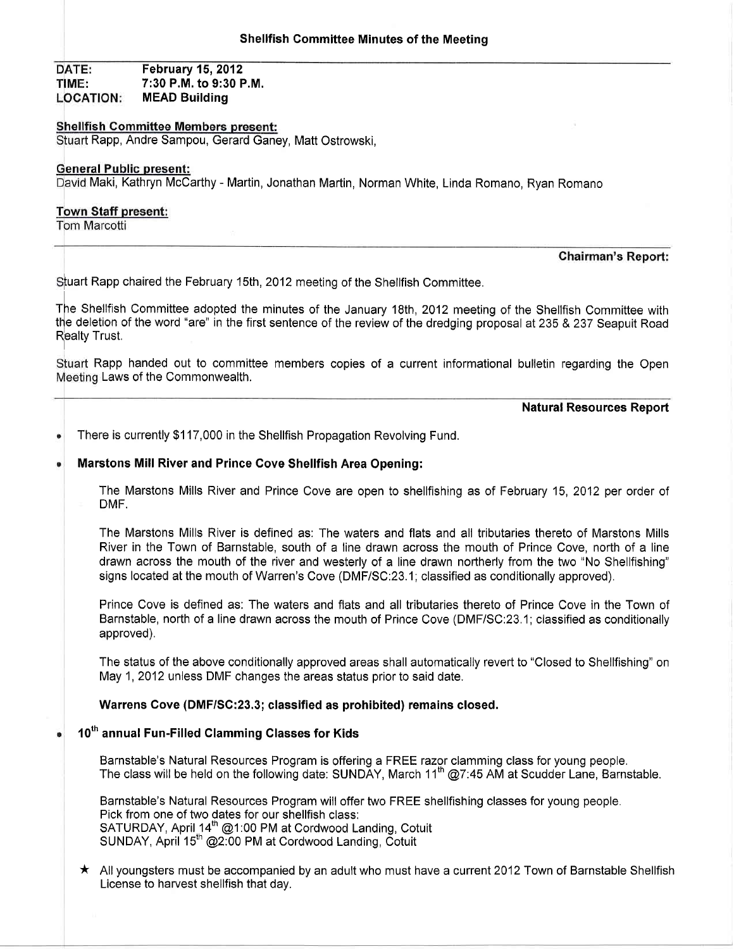DATE: February 15,2012 TIME: 7:30 P.M. to 9:30 P.M. **LOCATION:** MEAD Building

## **Shellfish Committee Members present:**

Stuart Rapp, Andre Sampou, Gerard Ganey, Matt Ostrowski,

#### **General Public present:**

David Maki, Kathryn McCarthy - Martin, Jonathan Martin, Norman White, Linda Romano, Ryan Romano

### **Town Staff present:**

Tom Marcotti

# **Chairman's Report:**

Stuart Rapp chaired the February 15th, 2012 meeting of the Shellfish Committee.

The Shellfish Committee adopted the minutes of the January 18th, 2012 meeting of the Shellfish Committee with the deletion of the word "are" in the first sentence of the review of the dredging proposal at 235 & 237 Seapuit Road **Realty Trust.** 

Stuart Rapp handed out to committee members copies of a current informational bulletin regarding the Open Meeting Laws of the Commonwealth.

### Natural Resources Report

There is currently \$117,000 in the Shellfish Propagation Revolving Fund.  $\bullet$ 

### Marstons Mill River and Prince Cove Shellfish Area Opening:

The Marstons Mills River and Prince Cove are open to shellfishing as of February 15, 2012 per order of DMF.

The Marstons Mills River is defined as: The waters and flats and all tributaries thereto of Marstons Mills River in the Town of Barnstable, south of a line drawn across the mouth of Prince Cove, north of a line drawn across the mouth of the river and westerly of a line drawn northerly from the two "No Shellfishing" signs located at the mouth of Warren's Cove (DMF/SC:23.1; classified as conditionally approved).

Prince Cove is defined as: The waters and flats and all tributaries thereto of Prince Cove in the Town of Barnstable, north of a line drawn across the mouth of Prince Cove (DMF/SC:23.1; classified as conditionally approved).

The status of the above conditionally approved areas shall automatically revert to "Closed to Shellfishing" on May 1, 2012 unless DMF changes the areas status prior to said date.

### Warrens Gove (DMF/SC:23.3; classified as prohibited) remains closed.

# 10<sup>th</sup> annual Fun-Filled Clamming Classes for Kids

Barnstable's Natural Resources Program is offering aFREE razor clamming class for young people. The class will be held on the following date: SUNDAY, March 11<sup>th</sup>  $@7:45$  AM at Scudder Lane, Barnstable.

Barnstable's Natural Resources Program will offer two FREE shellfishing classes for young people. Pick from one of two dates for our shellfish class: SATURDAY, April 14'n @1:00 PM at Cordwood Landing, Cotuit SUNDAY, April 15<sup>th</sup> @2:00 PM at Cordwood Landing, Cotuit

 $\star$  All youngsters must be accompanied by an adult who must have a current 2012 Town of Barnstable Shellfish License to harvest shellfish that dav,